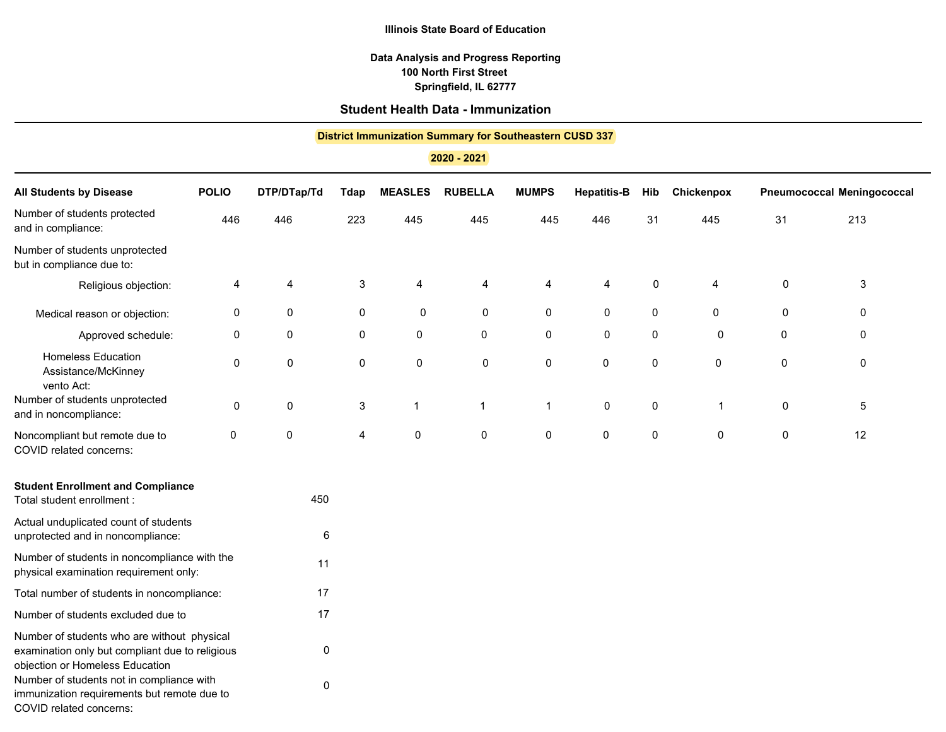**Springfield, IL 62777 100 North First Street Data Analysis and Progress Reporting**

# **Student Health Data - Immunization**

## **District Immunization Summary for Southeastern CUSD 337**

**2020 - 2021**

| <b>All Students by Disease</b>                                                                                                    | <b>POLIO</b> | DTP/DTap/Td | <b>Tdap</b> | <b>MEASLES</b> | <b>RUBELLA</b>      | <b>MUMPS</b> | <b>Hepatitis-B</b> | Hib       | Chickenpox   |
|-----------------------------------------------------------------------------------------------------------------------------------|--------------|-------------|-------------|----------------|---------------------|--------------|--------------------|-----------|--------------|
| Number of students protected<br>and in compliance:                                                                                | 446          | 446         | 223         | 445            | 445                 | 445          | 446                | 31        | 445          |
| Number of students unprotected<br>but in compliance due to:                                                                       |              |             |             |                |                     |              |                    |           |              |
| Religious objection:                                                                                                              | 4            | 4           | 3           | 4              | 4                   | 4            | 4                  | 0         | 4            |
| Medical reason or objection:                                                                                                      | 0            | 0           | $\pmb{0}$   | 0              | $\mathsf{O}\xspace$ | 0            | 0                  | $\pmb{0}$ | $\mathbf 0$  |
| Approved schedule:                                                                                                                | 0            | $\mathbf 0$ | $\pmb{0}$   | $\pmb{0}$      | 0                   | 0            | 0                  | $\pmb{0}$ | 0            |
| <b>Homeless Education</b><br>Assistance/McKinney<br>vento Act:                                                                    | 0            | 0           | $\pmb{0}$   | 0              | $\pmb{0}$           | 0            | 0                  | 0         | 0            |
| Number of students unprotected<br>and in noncompliance:                                                                           | $\mathsf 0$  | 0           | 3           | 1              | $\mathbf{1}$        | $\mathbf{1}$ | 0                  | $\pmb{0}$ | $\mathbf{1}$ |
| Noncompliant but remote due to<br>COVID related concerns:                                                                         | 0            | 0           | 4           | $\pmb{0}$      | $\mathsf 0$         | 0            | 0                  | $\pmb{0}$ | 0            |
| <b>Student Enrollment and Compliance</b><br>Total student enrollment :                                                            |              | 450         |             |                |                     |              |                    |           |              |
| Actual unduplicated count of students<br>unprotected and in noncompliance:                                                        |              | 6           |             |                |                     |              |                    |           |              |
| Number of students in noncompliance with the<br>physical examination requirement only:                                            |              | 11          |             |                |                     |              |                    |           |              |
| Total number of students in noncompliance:                                                                                        |              | 17          |             |                |                     |              |                    |           |              |
| Number of students excluded due to                                                                                                |              | 17          |             |                |                     |              |                    |           |              |
| Number of students who are without physical<br>examination only but compliant due to religious<br>objection or Homeless Education |              | 0           |             |                |                     |              |                    |           |              |
| Number of students not in compliance with<br>immunization requirements but remote due to                                          |              | 0           |             |                |                     |              |                    |           |              |

COVID related concerns: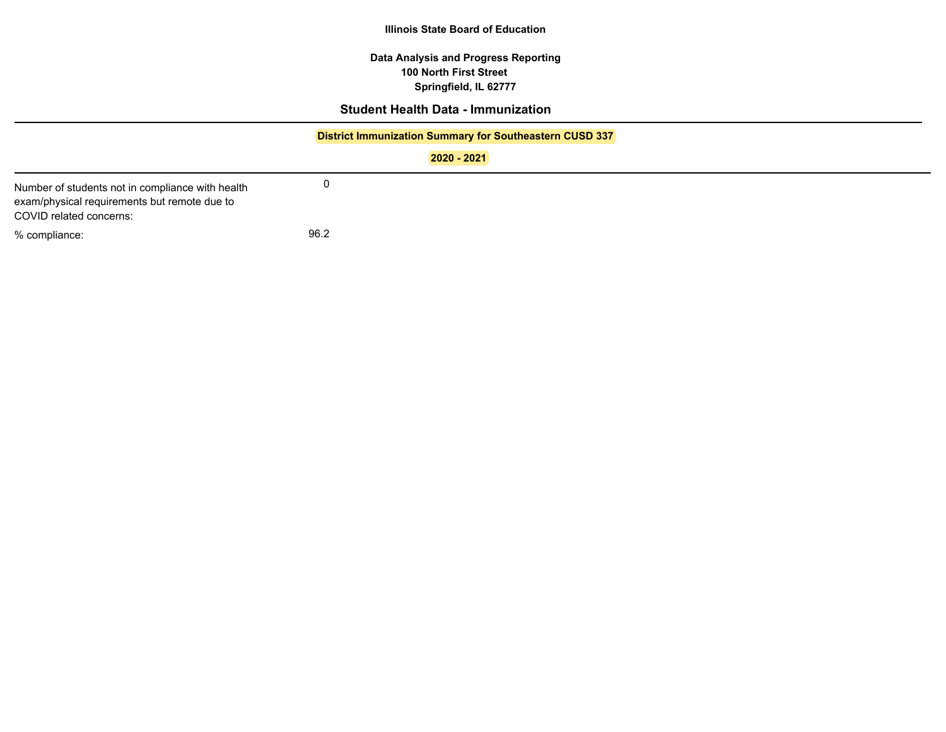**Springfield, IL 62777 100 North First Street Data Analysis and Progress Reporting**

## **Student Health Data - Immunization**

## **District Immunization Summary for Southeastern CUSD 337**

**2020 - 2021**

% compliance: 96.2 Number of students not in compliance with health exam/physical requirements but remote due to COVID related concerns:

0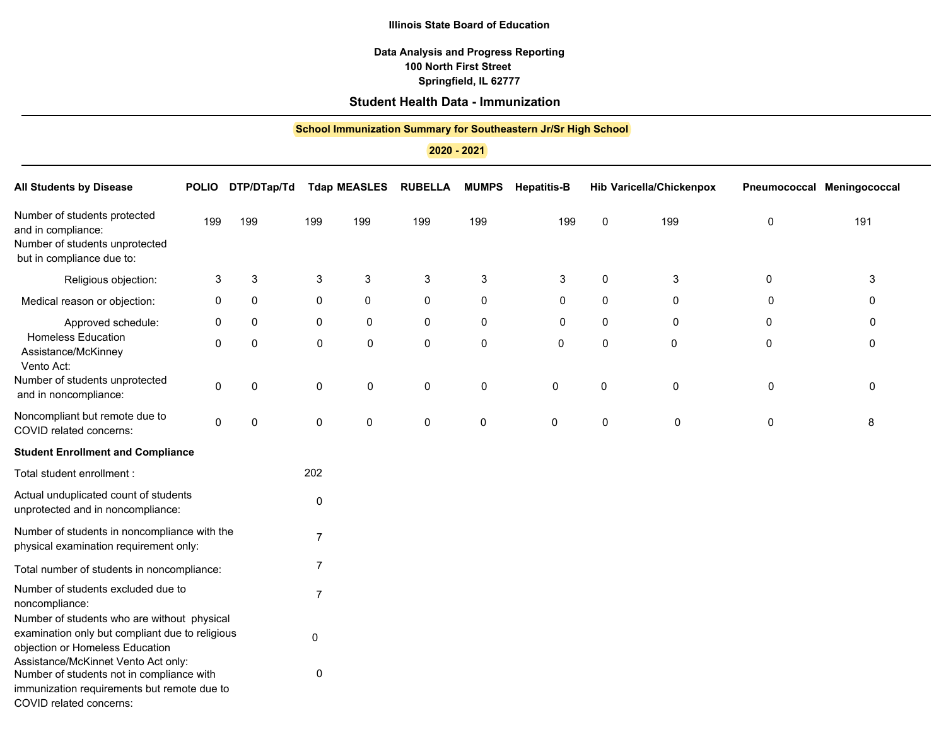## **Data Analysis and Progress Reporting Springfield, IL 62777 100 North First Street**

## **Student Health Data - Immunization**

| <b>School Immunization Summary for Southeastern Jr/Sr High School</b><br>2020 - 2021                                              |              |             |                |                     |                |              |                    |             |                                 |
|-----------------------------------------------------------------------------------------------------------------------------------|--------------|-------------|----------------|---------------------|----------------|--------------|--------------------|-------------|---------------------------------|
| <b>All Students by Disease</b>                                                                                                    | <b>POLIO</b> | DTP/DTap/Td |                | <b>Tdap MEASLES</b> | <b>RUBELLA</b> | <b>MUMPS</b> | <b>Hepatitis-B</b> |             | <b>Hib Varicella/Chickenpox</b> |
| Number of students protected<br>and in compliance:<br>Number of students unprotected<br>but in compliance due to:                 | 199          | 199         | 199            | 199                 | 199            | 199          | 199                | $\mathbf 0$ | 199                             |
| Religious objection:                                                                                                              | 3            | 3           | 3              | 3                   | 3              | 3            | $\mathsf 3$        | 0           | $\mathsf 3$                     |
| Medical reason or objection:                                                                                                      | 0            | 0           | 0              | 0                   | 0              | 0            | 0                  | $\mathbf 0$ | 0                               |
| Approved schedule:                                                                                                                | 0            | 0           | 0              | 0                   | 0              | 0            | 0                  | $\mathbf 0$ | 0                               |
| <b>Homeless Education</b><br>Assistance/McKinney<br>Vento Act:                                                                    | 0            | 0           | 0              | 0                   | 0              | 0            | $\pmb{0}$          | 0           | 0                               |
| Number of students unprotected<br>and in noncompliance:                                                                           | $\Omega$     | 0           | $\mathbf 0$    | 0                   | 0              | $\mathbf 0$  | 0                  | 0           | $\mathbf 0$                     |
| Noncompliant but remote due to<br>COVID related concerns:                                                                         | 0            | 0           | 0              | 0                   | 0              | 0            | 0                  | 0           | 0                               |
| <b>Student Enrollment and Compliance</b>                                                                                          |              |             |                |                     |                |              |                    |             |                                 |
| Total student enrollment :                                                                                                        |              |             | 202            |                     |                |              |                    |             |                                 |
| Actual unduplicated count of students<br>unprotected and in noncompliance:                                                        |              |             | $\pmb{0}$      |                     |                |              |                    |             |                                 |
| Number of students in noncompliance with the<br>physical examination requirement only:                                            |              |             | $\overline{7}$ |                     |                |              |                    |             |                                 |
| Total number of students in noncompliance:                                                                                        |              |             | 7              |                     |                |              |                    |             |                                 |
| Number of students excluded due to<br>noncompliance:                                                                              |              |             | $\overline{7}$ |                     |                |              |                    |             |                                 |
| Number of students who are without physical<br>examination only but compliant due to religious<br>objection or Homeless Education |              |             | 0              |                     |                |              |                    |             |                                 |
| Assistance/McKinnet Vento Act only:<br>Number of students not in compliance with<br>immunization requirements but remote due to   |              |             | 0              |                     |                |              |                    |             |                                 |

COVID related concerns: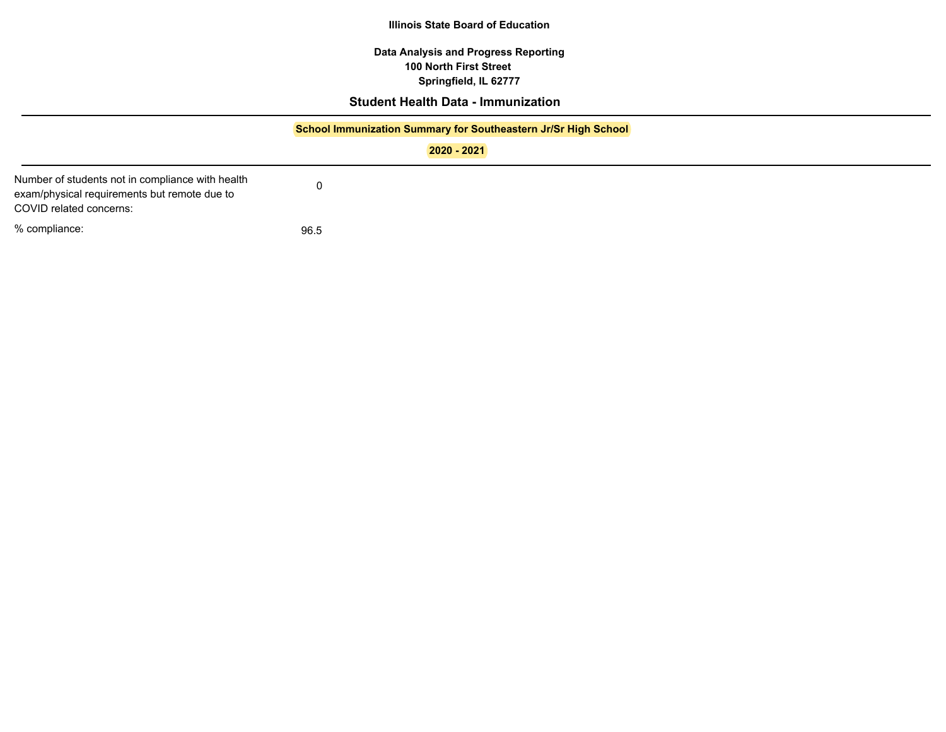**Data Analysis and Progress Reporting Springfield, IL 62777 100 North First Street**

# **Student Health Data - Immunization**

|                                                                                                                             | School Immunization Summary for Southeastern Jr/Sr High School<br>2020 - 2021 |  |  |  |  |  |  |
|-----------------------------------------------------------------------------------------------------------------------------|-------------------------------------------------------------------------------|--|--|--|--|--|--|
| Number of students not in compliance with health<br>exam/physical requirements but remote due to<br>COVID related concerns: |                                                                               |  |  |  |  |  |  |
| % compliance:                                                                                                               | 96.5                                                                          |  |  |  |  |  |  |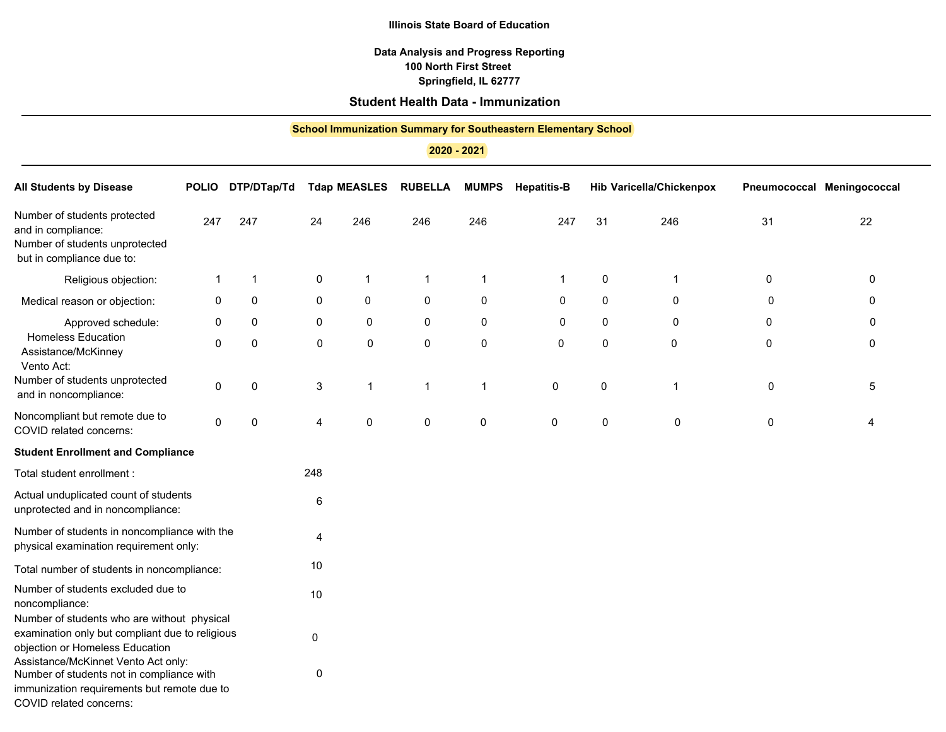## **Data Analysis and Progress Reporting Springfield, IL 62777 100 North First Street**

## **Student Health Data - Immunization**

| <b>School Immunization Summary for Southeastern Elementary School</b><br>2020 - 2021                                              |              |             |       |                     |                |              |                    |             |                                 |
|-----------------------------------------------------------------------------------------------------------------------------------|--------------|-------------|-------|---------------------|----------------|--------------|--------------------|-------------|---------------------------------|
| <b>All Students by Disease</b>                                                                                                    | <b>POLIO</b> | DTP/DTap/Td |       | <b>Tdap MEASLES</b> | <b>RUBELLA</b> | <b>MUMPS</b> | <b>Hepatitis-B</b> |             | <b>Hib Varicella/Chickenpox</b> |
| Number of students protected<br>and in compliance:<br>Number of students unprotected<br>but in compliance due to:                 | 247          | 247         | 24    | 246                 | 246            | 246          | 247                | 31          | 246                             |
| Religious objection:                                                                                                              | 1            | 1           | 0     | 1                   | 1              | 1            | $\mathbf 1$        | 0           | $\mathbf{1}$                    |
| Medical reason or objection:                                                                                                      | 0            | 0           | 0     | 0                   | 0              | $\mathbf 0$  | 0                  | $\mathbf 0$ | 0                               |
| Approved schedule:                                                                                                                | 0            | 0           | 0     | 0                   | 0              | 0            | 0                  | $\mathbf 0$ | 0                               |
| <b>Homeless Education</b><br>Assistance/McKinney<br>Vento Act:                                                                    | 0            | 0           | 0     | 0                   | 0              | 0            | $\pmb{0}$          | 0           | 0                               |
| Number of students unprotected<br>and in noncompliance:                                                                           | 0            | 0           | 3     | 1                   | 1              | 1            | 0                  | 0           | $\mathbf{1}$                    |
| Noncompliant but remote due to<br>COVID related concerns:                                                                         | 0            | 0           | 4     | 0                   | 0              | 0            | 0                  | 0           | 0                               |
| <b>Student Enrollment and Compliance</b>                                                                                          |              |             |       |                     |                |              |                    |             |                                 |
| Total student enrollment :                                                                                                        |              |             | 248   |                     |                |              |                    |             |                                 |
| Actual unduplicated count of students<br>unprotected and in noncompliance:                                                        |              |             | $\,6$ |                     |                |              |                    |             |                                 |
| Number of students in noncompliance with the<br>physical examination requirement only:                                            |              |             | 4     |                     |                |              |                    |             |                                 |
| Total number of students in noncompliance:                                                                                        |              |             | 10    |                     |                |              |                    |             |                                 |
| Number of students excluded due to<br>noncompliance:                                                                              |              |             | 10    |                     |                |              |                    |             |                                 |
| Number of students who are without physical<br>examination only but compliant due to religious<br>objection or Homeless Education |              |             | 0     |                     |                |              |                    |             |                                 |
| Assistance/McKinnet Vento Act only:<br>Number of students not in compliance with<br>immunization requirements but remote due to   |              |             | 0     |                     |                |              |                    |             |                                 |

COVID related concerns: